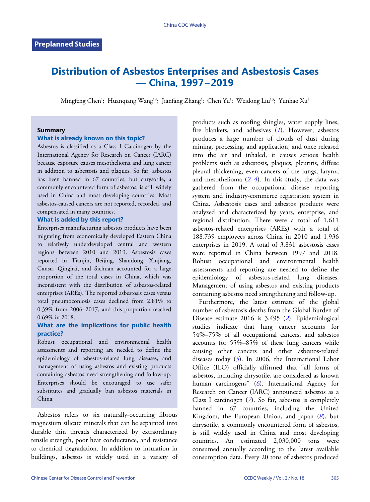# **Distribution of Asbestos Enterprises and Asbestosis Cases — China, 1997−2019**

Mingfeng Chen'; Huanqiang Wang<sup>1,8</sup>; Jianfang Zhang<sup>2</sup>; Chen Yu'; Weidong Liu'<sup>,3</sup>; Yunhao Xu'

#### **Summary**

#### **What is already known on this topic?**

Asbestos is classified as a Class I Carcinogen by the International Agency for Research on Cancer (IARC) because exposure causes mesothelioma and lung cancer in addition to asbestosis and plaques. So far, asbestos has been banned in 67 countries, but chrysotile, a commonly encountered form of asbestos, is still widely used in China and most developing countries. Most asbestos-caused cancers are not reported, recorded, and compensated in many countries.

#### **What is added by this report?**

Enterprises manufacturing asbestos products have been migrating from economically developed Eastern China to relatively underdeveloped central and western regions between 2010 and 2019. Asbestosis cases reported in Tianjin, Beijing, Shandong, Xinjiang, Gansu, Qinghai, and Sichuan accounted for a large proportion of the total cases in China, which was inconsistent with the distribution of asbestos-related enterprises (AREs). The reported asbestosis cases versus total pneumoconiosis cases declined from 2.81% to 0.39% from 2006–2017, and this proportion reached 0.69% in 2018.

## **What are the implications for public health practice?**

Robust occupational and environmental health assessments and reporting are needed to define the epidemiology of asbestos-related lung diseases, and management of using asbestos and existing products containing asbestos need strengthening and follow-up. Enterprises should be encouraged to use safer substitutes and gradually ban asbestos materials in China.

Asbestos refers to six naturally-occurring fibrous magnesium silicate minerals that can be separated into durable thin threads characterized by extraordinary tensile strength, poor heat conductance, and resistance to chemical degradation. In addition to insulation in buildings, asbestos is widely used in a variety of products such as roofing shingles, water supply lines, fire blankets, and adhesives (*[1](#page-4-0)*). However, asbestos produces a large number of clouds of dust during mining, processing, and application, and once released into the air and inhaled, it causes serious health problems such as asbestosis, plaques, pleuritis, diffuse pleural thickening, even cancers of the lungs, larynx, and mesothelioma  $(2-4)$  $(2-4)$  $(2-4)$  $(2-4)$  $(2-4)$ . In this study, the data was gathered from the occupational disease reporting system and industry-commerce registration system in China. Asbestosis cases and asbestos products were analyzed and characterized by years, enterprise, and regional distribution. There were a total of 1,611 asbestos-related enterprises (AREs) with a total of 188,739 employees across China in 2010 and 1,936 enterprises in 2019. A total of 3,831 asbestosis cases were reported in China between 1997 and 2018. Robust occupational and environmental health assessments and reporting are needed to define the epidemiology of asbestos-related lung diseases. Management of using asbestos and existing products containing asbestos need strengthening and follow-up.

Furthermore, the latest estimate of the global number of asbestosis deaths from the Global Burden of Disease estimate 2016 is 3,495 (*[2](#page-4-1)*). Epidemiological studies indicate that lung cancer accounts for 54%–75% of all occupational cancers, and asbestos accounts for 55%–85% of these lung cancers while causing other cancers and other asbestos-related diseases today (*[5](#page-4-3)*). In 2006, the International Labor Office (ILO) officially affirmed that "all forms of asbestos, including chrysotile, are considered as known human carcinogens" (*[6](#page-4-4)*). International Agency for Research on Cancer (IARC) announced asbestos as a Class I carcinogen ([7](#page-4-5)). So far, asbestos is completely banned in 67 countries, including the United Kingdom, the European Union, and Japan (*[8](#page-4-6)*), but chrysotile, a commonly encountered form of asbestos, is still widely used in China and most developing countries. An estimated 2,030,000 tons were consumed annually according to the latest available consumption data. Every 20 tons of asbestos produced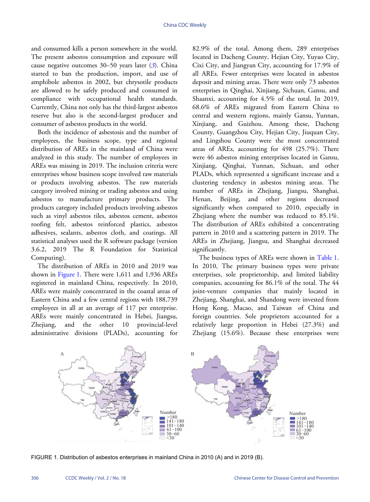and consumed kills a person somewhere in the world. The present asbestos consumption and exposure will cause negative outcomes 30–50 years later (*[3](#page-4-7)*). China started to ban the production, import, and use of amphibole asbestos in 2002, but chrysotile products are allowed to be safely produced and consumed in compliance with occupational health standards. Currently, China not only has the third-largest asbestos reserve but also is the second-largest producer and consumer of asbestos products in the world.

Both the incidence of asbestosis and the number of employees, the business scope, type and regional distribution of AREs in the mainland of China were analyzed in this study. The number of employees in AREs was missing in 2019. The inclusion criteria were enterprises whose business scope involved raw materials or products involving asbestos. The raw materials category involved mining or trading asbestos and using asbestos to manufacture primary products. The products category included products involving asbestos such as vinyl asbestos tiles, asbestos cement, asbestos roofing felt, asbestos reinforced plastics, asbestos adhesives, sealants, asbestos cloth, and coatings. All statistical analyses used the R software package (version 3.6.2, 2019 The R Foundation for Statistical Computing).

The di[stribution](#page-1-0) of AREs in 2010 and 2019 was shown in [Figure 1](#page-1-0). There were 1,611 and 1,936 AREs registered in mainland China, respectively. In 2010, AREs were mainly concentrated in the coastal areas of Eastern China and a few central regions with 188,739 employees in all at an average of 117 per enterprise. AREs were mainly concentrated in Hebei, Jiangsu, Zhejiang, and the other 10 provincial-level administrative divisions (PLADs), accounting for

82.9% of the total. Among them, 289 enterprises located in Dacheng County, Hejian City, Yuyao City, Cixi City, and Jiangyan City, accounting for 17.9% of all AREs. Fewer enterprises were located in asbestos deposit and mining areas. There were only 73 asbestos enterprises in Qinghai, Xinjiang, Sichuan, Gansu, and Shaanxi, accounting for 4.5% of the total. In 2019, 68.6% of AREs migrated from Eastern China to central and western regions, mainly Gansu, Yunnan, Xinjiang, and Guizhou. Among these, Dacheng County, Guangzhou City, Hejian City, Jiuquan City, and Lingshou County were the most concentrated areas of AREs, accounting for 498 (25.7%). There were 46 asbestos mining enterprises located in Gansu, Xinjiang, Qinghai, Yunnan, Sichuan, and other PLADs, which represented a significant increase and a clustering tendency in asbestos mining areas. The number of AREs in Zhejiang, Jiangsu, Shanghai, Henan, Beijing, and other regions decreased significantly when compared to 2010, especially in Zhejiang where the number was reduced to 85.1%. The distribution of AREs exhibited a concentrating pattern in 2010 and a scattering pattern in 2019. The AREs in Zhejiang, Jiangsu, and Shanghai decreased significantly.

The business types of AREs were shown in [Table 1](#page-2-0). In 2010, The primary business types were private enterprises, sole proprietorship, and limited liability companies, accounting for 86.1% of the total. The 44 joint-venture companies that mainly located in Zhejiang, Shanghai, and Shandong were invested from Hong Kong, Macao, and Taiwan of China and foreign countries. Sole proprietors accounted for a relatively large proportion in Hebei (27.3%) and Zhejiang (15.6%). Because these enterprises were

<span id="page-1-0"></span>

FIGURE 1. Distribution of asbestos enterprises in mainland China in 2010 (A) and in 2019 (B).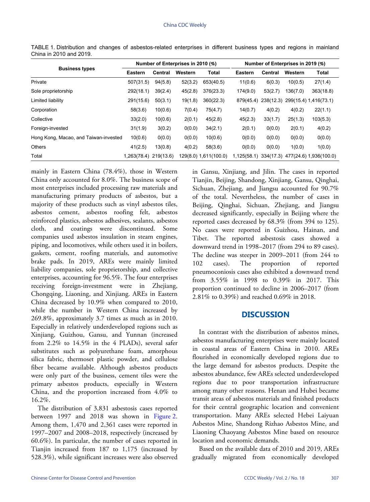| <b>Business types</b>                 | Number of Enterprises in 2010 (%) |         |         |                       | Number of Enterprises in 2019 (%) |         |          |                                              |
|---------------------------------------|-----------------------------------|---------|---------|-----------------------|-----------------------------------|---------|----------|----------------------------------------------|
|                                       | Eastern                           | Central | Western | <b>Total</b>          | Eastern                           | Central | Western  | <b>Total</b>                                 |
| Private                               | 507(31.5)                         | 94(5.8) | 52(3.2) | 653(40.5)             | 11(0.6)                           | 6(0.3)  | 10(0.5)  | 27(1.4)                                      |
| Sole proprietorship                   | 292(18.1)                         | 39(2.4) | 45(2.8) | 376(23.3)             | 174(9.0)                          | 53(2.7) | 136(7.0) | 363(18.8)                                    |
| Limited liability                     | 291(15.6)                         | 50(3.1) | 19(1.8) | 360(22.3)             | 879(45.4)                         |         |          | 238(12.3) 299(15.4) 1,416(73.1)              |
| Corporation                           | 58(3.6)                           | 10(0.6) | 7(0.4)  | 75(4.7)               | 14(0.7)                           | 4(0.2)  | 4(0.2)   | 22(1.1)                                      |
| Collective                            | 33(2.0)                           | 10(0.6) | 2(0.1)  | 45(2.8)               | 45(2.3)                           | 33(1.7) | 25(1.3)  | 103(5.3)                                     |
| Foreign-invested                      | 31(1.9)                           | 3(0.2)  | 0(0.0)  | 34(2.1)               | 2(0.1)                            | 0(0.0)  | 2(0.1)   | 4(0.2)                                       |
| Hong Kong, Macao, and Taiwan-invested | 10(0.6)                           | 0(0.0)  | 0(0.0)  | 10(0.6)               | 0(0.0)                            | 0(0.0)  | 0(0.0)   | 0(0.0)                                       |
| <b>Others</b>                         | 41(2.5)                           | 13(0.8) | 4(0.2)  | 58(3.6)               | 0(0.0)                            | 0(0.0)  | 1(0.0)   | 1(0.0)                                       |
| Total                                 | 1,263(78.4) 219(13.6)             |         |         | 129(8.0) 1,611(100.0) |                                   |         |          | 1,125(58.1) 334(17.3) 477(24.6) 1,936(100.0) |

<span id="page-2-0"></span>TABLE 1. Distribution and changes of asbestos-related enterprises in different business types and regions in mainland China in 2010 and 2019.

mainly in Eastern China (78.4%), those in Western China only accounted for 8.0%. The business scope of most enterprises included processing raw materials and manufacturing primary products of asbestos, but a majority of these products such as vinyl asbestos tiles, asbestos cement, asbestos roofing felt, asbestos reinforced plastics, asbestos adhesives, sealants, asbestos cloth, and coatings were discontinued. Some companies used asbestos insulation in steam engines, piping, and locomotives, while others used it in boilers, gaskets, cement, roofing materials, and automotive brake pads. In 2019, AREs were mainly limited liability companies, sole proprietorship, and collective enterprises, accounting for 96.5%. The four enterprises receiving foreign-investment were in Zhejiang, Chongqing, Liaoning, and Xinjiang. AREs in Eastern China decreased by 10.9% when compared to 2010, while the number in Western China increased by 269.8%, approximately 3.7 times as much as in 2010. Especially in relatively underdeveloped regions such as Xinjiang, Guizhou, Gansu, and Yunnan (increased from  $2.2\%$  to  $14.5\%$  in the 4 PLADs), several safer substitutes such as polyurethane foam, amorphous silica fabric, thermoset plastic powder, and cellulose fiber became available. Although asbestos products were only part of the business, cement tiles were the primary asbestos products, especially in Western China, and the proportion increased from 4.0% to 16.2%.

The distribution of 3,831 asbestosis cases reported between 1997 and 2018 was shown in [Figure 2.](#page-3-0) Among them, 1,470 and 2,361 cases were reported in 1997–2007 and 2008–2018, respectively (increased by 60.6%). In particular, the number of cases reported in Tianjin increased from 187 to 1,175 (increased by 528.3%), while significant increases were also observed

in Gansu, Xinjiang, and Jilin. The cases in reported Tianjin, Beijing, Shandong, Xinjiang, Gansu, Qinghai, Sichuan, Zhejiang, and Jiangsu accounted for 90.7% of the total. Nevertheless, the number of cases in Beijing, Qinghai, Sichuan, Zhejiang, and Jiangsu decreased significantly, especially in Beijing where the reported cases decreased by 68.3% (from 394 to 125). No cases were reported in Guizhou, Hainan, and Tibet. The reported asbestosis cases showed a downward trend in 1998–2017 (from 294 to 89 cases). The decline was steeper in 2009–2011 (from 244 to 102 cases). The proportion of reported pneumoconiosis cases also exhibited a downward trend from 3.55% in 1998 to 0.39% in 2017. This proportion continued to decline in 2006–2017 (from 2.81% to 0.39%) and reached 0.69% in 2018.

### **DISCUSSION**

In contrast with the distribution of asbestos mines, asbestos manufacturing enterprises were mainly located in coastal areas of Eastern China in 2010. AREs flourished in economically developed regions due to the large demand for asbestos products. Despite the asbestos abundance, few AREs selected underdeveloped regions due to poor transportation infrastructure among many other reasons. Henan and Hubei became transit areas of asbestos materials and finished products for their central geographic location and convenient transportation. Many AREs selected Hebei Laiyuan Asbestos Mine, Shandong Rizhao Asbestos Mine, and Liaoning Chaoyang Asbestos Mine based on resource location and economic demands.

Based on the available data of 2010 and 2019, AREs gradually migrated from economically developed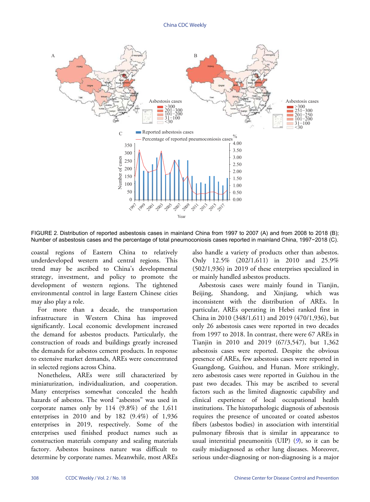<span id="page-3-0"></span>

FIGURE 2. Distribution of reported asbestosis cases in mainland China from 1997 to 2007 (A) and from 2008 to 2018 (B); Number of asbestosis cases and the percentage of total pneumoconiosis cases reported in mainland China, 1997−2018 (C).

coastal regions of Eastern China to relatively underdeveloped western and central regions. This trend may be ascribed to China's developmental strategy, investment, and policy to promote the development of western regions. The tightened environmental control in large Eastern Chinese cities may also play a role.

For more than a decade, the transportation infrastructure in Western China has improved significantly. Local economic development increased the demand for asbestos products. Particularly, the construction of roads and buildings greatly increased the demands for asbestos cement products. In response to extensive market demands, AREs were concentrated in selected regions across China.

Nonetheless, AREs were still characterized by miniaturization, individualization, and cooperation. Many enterprises somewhat concealed the health hazards of asbestos. The word "asbestos" was used in corporate names only by  $114$   $(9.8%)$  of the  $1,611$ enterprises in 2010 and by 182 (9.4%) of 1,936 enterprises in 2019, respectively. Some of the enterprises used finished product names such as construction materials company and sealing materials factory. Asbestos business nature was difficult to determine by corporate names. Meanwhile, most AREs

also handle a variety of products other than asbestos. Only 12.5% (202/1,611) in 2010 and 25.9% (502/1,936) in 2019 of these enterprises specialized in or mainly handled asbestos products.

Asbestosis cases were mainly found in Tianjin, Beijing, Shandong, and Xinjiang, which was inconsistent with the distribution of AREs. In particular, AREs operating in Hebei ranked first in China in 2010 (348/1,611) and 2019 (470/1,936), but only 26 asbestosis cases were reported in two decades from 1997 to 2018. In contrast, there were 67 AREs in Tianjin in 2010 and 2019 (67/3,547), but 1,362 asbestosis cases were reported. Despite the obvious presence of AREs, few asbestosis cases were reported in Guangdong, Guizhou, and Hunan. More strikingly, zero asbestosis cases were reported in Guizhou in the past two decades. This may be ascribed to several factors such as the limited diagnostic capability and clinical experience of local occupational health institutions. The histopathologic diagnosis of asbestosis requires the presence of uncoated or coated asbestos fibers (asbestos bodies) in association with interstitial pulmonary fibrosis that is similar in appearance to usual interstitial pneumonitis (UIP) (*[9](#page-4-8)*), so it can be easily misdiagnosed as other lung diseases. Moreover, serious under-diagnosing or non-diagnosing is a major